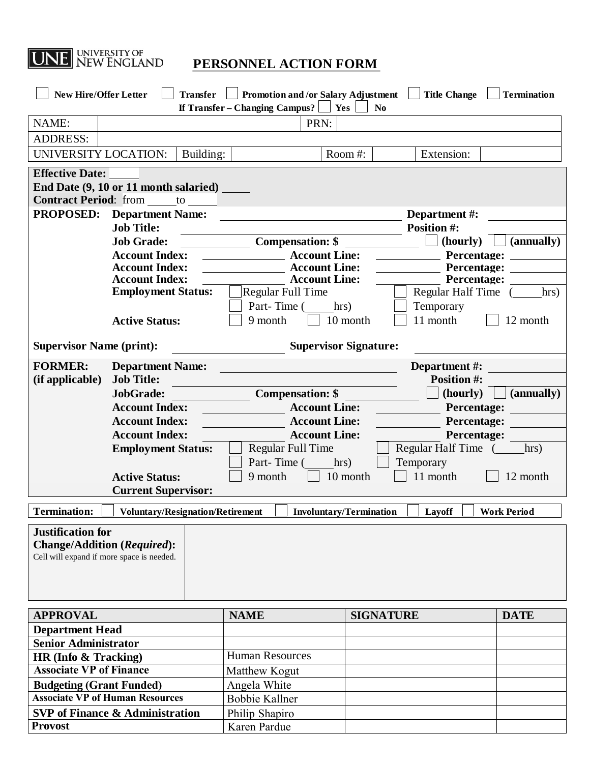

| NAME:<br>PRN:<br><b>ADDRESS:</b><br>UNIVERSITY LOCATION:<br>Building:<br>Room#:<br>Extension:<br><b>Effective Date:</b><br>End Date (9, 10 or 11 month salaried)<br><b>Contract Period:</b> from to<br><b>PROPOSED:</b><br><b>Department Name:</b><br>Department #:<br><b>Job Title:</b><br><b>Position #:</b><br>(hourly)  <br>(annually)<br><b>Job Grade:</b><br><b>Compensation: \$</b><br><b>Account Line:</b><br><b>Account Index:</b><br>Percentage:<br><b>Account Index:</b><br><b>Account Line:</b><br>Percentage:<br><b>Account Index:</b><br><b>Example 2 Account Line:</b><br><b>Percentage:</b><br><b>Employment Status:</b><br><b>Regular Full Time</b><br>Regular Half Time (<br>hrs)<br>Part-Time (<br>hrs)<br>Temporary<br>11 month<br>9 month<br>10 month<br>12 month<br><b>Active Status:</b><br><b>Supervisor Signature:</b><br><b>Supervisor Name (print):</b><br><b>FORMER:</b><br><b>Department Name:</b><br>Department #:<br><b>Job Title:</b><br><b>Position #:</b><br>(if applicable)<br>(hourly)<br>(annually)<br>JobGrade:<br><b>Compensation: \$</b><br><b>Account Index:</b><br><b>Account Line:</b><br>Percentage:<br><b>Account Index:</b><br><b>Account Line:</b><br>Percentage:<br><b>Account Index:</b><br><b>Account Line:</b><br>Percentage:<br>Regular Half Time (<br>Regular Full Time<br>hrs)<br><b>Employment Status:</b><br>Part-Time (<br>Temporary<br>hrs)<br>10 month<br>11 month<br>9 month<br>12 month<br><b>Active Status:</b><br><b>Current Supervisor:</b><br><b>Termination:</b><br>Layoff<br><b>Work Period</b><br><b>Voluntary/Resignation/Retirement</b><br><b>Involuntary/Termination</b><br><b>Justification for</b><br><b>Change/Addition (Required):</b><br>Cell will expand if more space is needed.<br><b>APPROVAL</b><br><b>NAME</b><br><b>SIGNATURE</b><br><b>DATE</b><br><b>Department Head</b><br><b>Senior Administrator</b><br><b>Human Resources</b><br>HR (Info & Tracking)<br><b>Associate VP of Finance</b><br>Matthew Kogut<br><b>Budgeting (Grant Funded)</b><br>Angela White<br><b>Associate VP of Human Resources</b><br><b>Bobbie Kallner</b><br><b>SVP</b> of Finance & Administration<br>Philip Shapiro<br><b>Provost</b><br>Karen Pardue | Transfer   Promotion and /or Salary Adjustment   Title Change<br><b>New Hire/Offer Letter</b><br><b>Termination</b> |  |  |  |  |  |  |
|-----------------------------------------------------------------------------------------------------------------------------------------------------------------------------------------------------------------------------------------------------------------------------------------------------------------------------------------------------------------------------------------------------------------------------------------------------------------------------------------------------------------------------------------------------------------------------------------------------------------------------------------------------------------------------------------------------------------------------------------------------------------------------------------------------------------------------------------------------------------------------------------------------------------------------------------------------------------------------------------------------------------------------------------------------------------------------------------------------------------------------------------------------------------------------------------------------------------------------------------------------------------------------------------------------------------------------------------------------------------------------------------------------------------------------------------------------------------------------------------------------------------------------------------------------------------------------------------------------------------------------------------------------------------------------------------------------------------------------------------------------------------------------------------------------------------------------------------------------------------------------------------------------------------------------------------------------------------------------------------------------------------------------------------------------------------------------------------------------------------------------------------------------------------------------------------------------------------------|---------------------------------------------------------------------------------------------------------------------|--|--|--|--|--|--|
|                                                                                                                                                                                                                                                                                                                                                                                                                                                                                                                                                                                                                                                                                                                                                                                                                                                                                                                                                                                                                                                                                                                                                                                                                                                                                                                                                                                                                                                                                                                                                                                                                                                                                                                                                                                                                                                                                                                                                                                                                                                                                                                                                                                                                       | If $Transfer - Changing Campus?$<br>Yes<br>N <sub>0</sub>                                                           |  |  |  |  |  |  |
|                                                                                                                                                                                                                                                                                                                                                                                                                                                                                                                                                                                                                                                                                                                                                                                                                                                                                                                                                                                                                                                                                                                                                                                                                                                                                                                                                                                                                                                                                                                                                                                                                                                                                                                                                                                                                                                                                                                                                                                                                                                                                                                                                                                                                       |                                                                                                                     |  |  |  |  |  |  |
|                                                                                                                                                                                                                                                                                                                                                                                                                                                                                                                                                                                                                                                                                                                                                                                                                                                                                                                                                                                                                                                                                                                                                                                                                                                                                                                                                                                                                                                                                                                                                                                                                                                                                                                                                                                                                                                                                                                                                                                                                                                                                                                                                                                                                       |                                                                                                                     |  |  |  |  |  |  |
|                                                                                                                                                                                                                                                                                                                                                                                                                                                                                                                                                                                                                                                                                                                                                                                                                                                                                                                                                                                                                                                                                                                                                                                                                                                                                                                                                                                                                                                                                                                                                                                                                                                                                                                                                                                                                                                                                                                                                                                                                                                                                                                                                                                                                       |                                                                                                                     |  |  |  |  |  |  |
|                                                                                                                                                                                                                                                                                                                                                                                                                                                                                                                                                                                                                                                                                                                                                                                                                                                                                                                                                                                                                                                                                                                                                                                                                                                                                                                                                                                                                                                                                                                                                                                                                                                                                                                                                                                                                                                                                                                                                                                                                                                                                                                                                                                                                       |                                                                                                                     |  |  |  |  |  |  |
|                                                                                                                                                                                                                                                                                                                                                                                                                                                                                                                                                                                                                                                                                                                                                                                                                                                                                                                                                                                                                                                                                                                                                                                                                                                                                                                                                                                                                                                                                                                                                                                                                                                                                                                                                                                                                                                                                                                                                                                                                                                                                                                                                                                                                       |                                                                                                                     |  |  |  |  |  |  |
|                                                                                                                                                                                                                                                                                                                                                                                                                                                                                                                                                                                                                                                                                                                                                                                                                                                                                                                                                                                                                                                                                                                                                                                                                                                                                                                                                                                                                                                                                                                                                                                                                                                                                                                                                                                                                                                                                                                                                                                                                                                                                                                                                                                                                       |                                                                                                                     |  |  |  |  |  |  |
|                                                                                                                                                                                                                                                                                                                                                                                                                                                                                                                                                                                                                                                                                                                                                                                                                                                                                                                                                                                                                                                                                                                                                                                                                                                                                                                                                                                                                                                                                                                                                                                                                                                                                                                                                                                                                                                                                                                                                                                                                                                                                                                                                                                                                       |                                                                                                                     |  |  |  |  |  |  |
|                                                                                                                                                                                                                                                                                                                                                                                                                                                                                                                                                                                                                                                                                                                                                                                                                                                                                                                                                                                                                                                                                                                                                                                                                                                                                                                                                                                                                                                                                                                                                                                                                                                                                                                                                                                                                                                                                                                                                                                                                                                                                                                                                                                                                       |                                                                                                                     |  |  |  |  |  |  |
|                                                                                                                                                                                                                                                                                                                                                                                                                                                                                                                                                                                                                                                                                                                                                                                                                                                                                                                                                                                                                                                                                                                                                                                                                                                                                                                                                                                                                                                                                                                                                                                                                                                                                                                                                                                                                                                                                                                                                                                                                                                                                                                                                                                                                       |                                                                                                                     |  |  |  |  |  |  |
|                                                                                                                                                                                                                                                                                                                                                                                                                                                                                                                                                                                                                                                                                                                                                                                                                                                                                                                                                                                                                                                                                                                                                                                                                                                                                                                                                                                                                                                                                                                                                                                                                                                                                                                                                                                                                                                                                                                                                                                                                                                                                                                                                                                                                       |                                                                                                                     |  |  |  |  |  |  |
|                                                                                                                                                                                                                                                                                                                                                                                                                                                                                                                                                                                                                                                                                                                                                                                                                                                                                                                                                                                                                                                                                                                                                                                                                                                                                                                                                                                                                                                                                                                                                                                                                                                                                                                                                                                                                                                                                                                                                                                                                                                                                                                                                                                                                       |                                                                                                                     |  |  |  |  |  |  |
|                                                                                                                                                                                                                                                                                                                                                                                                                                                                                                                                                                                                                                                                                                                                                                                                                                                                                                                                                                                                                                                                                                                                                                                                                                                                                                                                                                                                                                                                                                                                                                                                                                                                                                                                                                                                                                                                                                                                                                                                                                                                                                                                                                                                                       |                                                                                                                     |  |  |  |  |  |  |
|                                                                                                                                                                                                                                                                                                                                                                                                                                                                                                                                                                                                                                                                                                                                                                                                                                                                                                                                                                                                                                                                                                                                                                                                                                                                                                                                                                                                                                                                                                                                                                                                                                                                                                                                                                                                                                                                                                                                                                                                                                                                                                                                                                                                                       |                                                                                                                     |  |  |  |  |  |  |
|                                                                                                                                                                                                                                                                                                                                                                                                                                                                                                                                                                                                                                                                                                                                                                                                                                                                                                                                                                                                                                                                                                                                                                                                                                                                                                                                                                                                                                                                                                                                                                                                                                                                                                                                                                                                                                                                                                                                                                                                                                                                                                                                                                                                                       |                                                                                                                     |  |  |  |  |  |  |
|                                                                                                                                                                                                                                                                                                                                                                                                                                                                                                                                                                                                                                                                                                                                                                                                                                                                                                                                                                                                                                                                                                                                                                                                                                                                                                                                                                                                                                                                                                                                                                                                                                                                                                                                                                                                                                                                                                                                                                                                                                                                                                                                                                                                                       |                                                                                                                     |  |  |  |  |  |  |
|                                                                                                                                                                                                                                                                                                                                                                                                                                                                                                                                                                                                                                                                                                                                                                                                                                                                                                                                                                                                                                                                                                                                                                                                                                                                                                                                                                                                                                                                                                                                                                                                                                                                                                                                                                                                                                                                                                                                                                                                                                                                                                                                                                                                                       |                                                                                                                     |  |  |  |  |  |  |
|                                                                                                                                                                                                                                                                                                                                                                                                                                                                                                                                                                                                                                                                                                                                                                                                                                                                                                                                                                                                                                                                                                                                                                                                                                                                                                                                                                                                                                                                                                                                                                                                                                                                                                                                                                                                                                                                                                                                                                                                                                                                                                                                                                                                                       |                                                                                                                     |  |  |  |  |  |  |
|                                                                                                                                                                                                                                                                                                                                                                                                                                                                                                                                                                                                                                                                                                                                                                                                                                                                                                                                                                                                                                                                                                                                                                                                                                                                                                                                                                                                                                                                                                                                                                                                                                                                                                                                                                                                                                                                                                                                                                                                                                                                                                                                                                                                                       |                                                                                                                     |  |  |  |  |  |  |
|                                                                                                                                                                                                                                                                                                                                                                                                                                                                                                                                                                                                                                                                                                                                                                                                                                                                                                                                                                                                                                                                                                                                                                                                                                                                                                                                                                                                                                                                                                                                                                                                                                                                                                                                                                                                                                                                                                                                                                                                                                                                                                                                                                                                                       |                                                                                                                     |  |  |  |  |  |  |
|                                                                                                                                                                                                                                                                                                                                                                                                                                                                                                                                                                                                                                                                                                                                                                                                                                                                                                                                                                                                                                                                                                                                                                                                                                                                                                                                                                                                                                                                                                                                                                                                                                                                                                                                                                                                                                                                                                                                                                                                                                                                                                                                                                                                                       |                                                                                                                     |  |  |  |  |  |  |
|                                                                                                                                                                                                                                                                                                                                                                                                                                                                                                                                                                                                                                                                                                                                                                                                                                                                                                                                                                                                                                                                                                                                                                                                                                                                                                                                                                                                                                                                                                                                                                                                                                                                                                                                                                                                                                                                                                                                                                                                                                                                                                                                                                                                                       |                                                                                                                     |  |  |  |  |  |  |
|                                                                                                                                                                                                                                                                                                                                                                                                                                                                                                                                                                                                                                                                                                                                                                                                                                                                                                                                                                                                                                                                                                                                                                                                                                                                                                                                                                                                                                                                                                                                                                                                                                                                                                                                                                                                                                                                                                                                                                                                                                                                                                                                                                                                                       |                                                                                                                     |  |  |  |  |  |  |
|                                                                                                                                                                                                                                                                                                                                                                                                                                                                                                                                                                                                                                                                                                                                                                                                                                                                                                                                                                                                                                                                                                                                                                                                                                                                                                                                                                                                                                                                                                                                                                                                                                                                                                                                                                                                                                                                                                                                                                                                                                                                                                                                                                                                                       |                                                                                                                     |  |  |  |  |  |  |
|                                                                                                                                                                                                                                                                                                                                                                                                                                                                                                                                                                                                                                                                                                                                                                                                                                                                                                                                                                                                                                                                                                                                                                                                                                                                                                                                                                                                                                                                                                                                                                                                                                                                                                                                                                                                                                                                                                                                                                                                                                                                                                                                                                                                                       |                                                                                                                     |  |  |  |  |  |  |
|                                                                                                                                                                                                                                                                                                                                                                                                                                                                                                                                                                                                                                                                                                                                                                                                                                                                                                                                                                                                                                                                                                                                                                                                                                                                                                                                                                                                                                                                                                                                                                                                                                                                                                                                                                                                                                                                                                                                                                                                                                                                                                                                                                                                                       |                                                                                                                     |  |  |  |  |  |  |
|                                                                                                                                                                                                                                                                                                                                                                                                                                                                                                                                                                                                                                                                                                                                                                                                                                                                                                                                                                                                                                                                                                                                                                                                                                                                                                                                                                                                                                                                                                                                                                                                                                                                                                                                                                                                                                                                                                                                                                                                                                                                                                                                                                                                                       |                                                                                                                     |  |  |  |  |  |  |
|                                                                                                                                                                                                                                                                                                                                                                                                                                                                                                                                                                                                                                                                                                                                                                                                                                                                                                                                                                                                                                                                                                                                                                                                                                                                                                                                                                                                                                                                                                                                                                                                                                                                                                                                                                                                                                                                                                                                                                                                                                                                                                                                                                                                                       |                                                                                                                     |  |  |  |  |  |  |
|                                                                                                                                                                                                                                                                                                                                                                                                                                                                                                                                                                                                                                                                                                                                                                                                                                                                                                                                                                                                                                                                                                                                                                                                                                                                                                                                                                                                                                                                                                                                                                                                                                                                                                                                                                                                                                                                                                                                                                                                                                                                                                                                                                                                                       |                                                                                                                     |  |  |  |  |  |  |
|                                                                                                                                                                                                                                                                                                                                                                                                                                                                                                                                                                                                                                                                                                                                                                                                                                                                                                                                                                                                                                                                                                                                                                                                                                                                                                                                                                                                                                                                                                                                                                                                                                                                                                                                                                                                                                                                                                                                                                                                                                                                                                                                                                                                                       |                                                                                                                     |  |  |  |  |  |  |
|                                                                                                                                                                                                                                                                                                                                                                                                                                                                                                                                                                                                                                                                                                                                                                                                                                                                                                                                                                                                                                                                                                                                                                                                                                                                                                                                                                                                                                                                                                                                                                                                                                                                                                                                                                                                                                                                                                                                                                                                                                                                                                                                                                                                                       |                                                                                                                     |  |  |  |  |  |  |
|                                                                                                                                                                                                                                                                                                                                                                                                                                                                                                                                                                                                                                                                                                                                                                                                                                                                                                                                                                                                                                                                                                                                                                                                                                                                                                                                                                                                                                                                                                                                                                                                                                                                                                                                                                                                                                                                                                                                                                                                                                                                                                                                                                                                                       |                                                                                                                     |  |  |  |  |  |  |
|                                                                                                                                                                                                                                                                                                                                                                                                                                                                                                                                                                                                                                                                                                                                                                                                                                                                                                                                                                                                                                                                                                                                                                                                                                                                                                                                                                                                                                                                                                                                                                                                                                                                                                                                                                                                                                                                                                                                                                                                                                                                                                                                                                                                                       |                                                                                                                     |  |  |  |  |  |  |
|                                                                                                                                                                                                                                                                                                                                                                                                                                                                                                                                                                                                                                                                                                                                                                                                                                                                                                                                                                                                                                                                                                                                                                                                                                                                                                                                                                                                                                                                                                                                                                                                                                                                                                                                                                                                                                                                                                                                                                                                                                                                                                                                                                                                                       |                                                                                                                     |  |  |  |  |  |  |
|                                                                                                                                                                                                                                                                                                                                                                                                                                                                                                                                                                                                                                                                                                                                                                                                                                                                                                                                                                                                                                                                                                                                                                                                                                                                                                                                                                                                                                                                                                                                                                                                                                                                                                                                                                                                                                                                                                                                                                                                                                                                                                                                                                                                                       |                                                                                                                     |  |  |  |  |  |  |
|                                                                                                                                                                                                                                                                                                                                                                                                                                                                                                                                                                                                                                                                                                                                                                                                                                                                                                                                                                                                                                                                                                                                                                                                                                                                                                                                                                                                                                                                                                                                                                                                                                                                                                                                                                                                                                                                                                                                                                                                                                                                                                                                                                                                                       |                                                                                                                     |  |  |  |  |  |  |
|                                                                                                                                                                                                                                                                                                                                                                                                                                                                                                                                                                                                                                                                                                                                                                                                                                                                                                                                                                                                                                                                                                                                                                                                                                                                                                                                                                                                                                                                                                                                                                                                                                                                                                                                                                                                                                                                                                                                                                                                                                                                                                                                                                                                                       |                                                                                                                     |  |  |  |  |  |  |
|                                                                                                                                                                                                                                                                                                                                                                                                                                                                                                                                                                                                                                                                                                                                                                                                                                                                                                                                                                                                                                                                                                                                                                                                                                                                                                                                                                                                                                                                                                                                                                                                                                                                                                                                                                                                                                                                                                                                                                                                                                                                                                                                                                                                                       |                                                                                                                     |  |  |  |  |  |  |
|                                                                                                                                                                                                                                                                                                                                                                                                                                                                                                                                                                                                                                                                                                                                                                                                                                                                                                                                                                                                                                                                                                                                                                                                                                                                                                                                                                                                                                                                                                                                                                                                                                                                                                                                                                                                                                                                                                                                                                                                                                                                                                                                                                                                                       |                                                                                                                     |  |  |  |  |  |  |